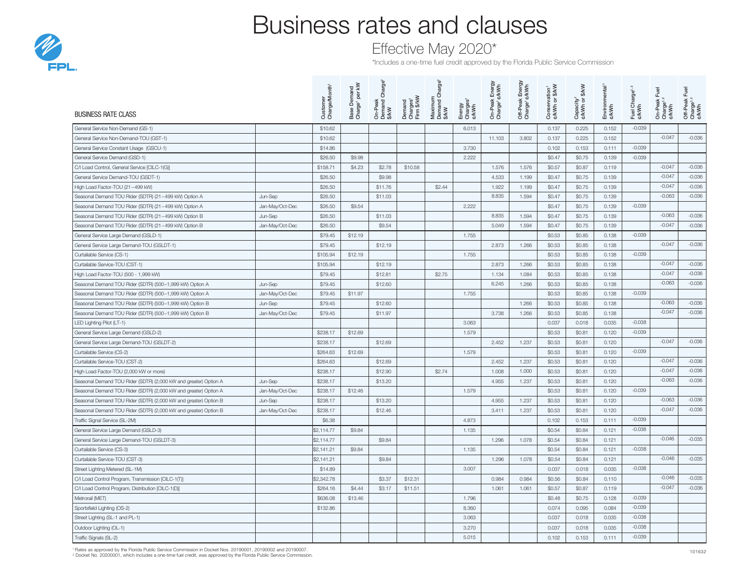

## Business rates and clauses

### Effective May 2020\*

\*Includes a one-time fuel credit approved by the Florida Public Service Commission

| <b>BUSINESS RATE CLASS</b>                                       |                 | Customer<br>Charge/Month <sup>1</sup> | Base Demand<br>Charge' per kW | Charge <sup>1</sup><br>On-Peak<br>Demand (<br>\$/kW | Demand<br>Charges <sup>1</sup><br>Firm \$/kW | large <sup>1</sup><br>ㅎ<br>Maximum<br>Demand C<br>\$/kW | Energy<br>Charges <sup>1</sup><br>¢/kWh | On-Peak Energy<br>Charge <sup>1</sup> ¢/kWh | Off-Peak Energy<br>Charge' ¢/kWh |        | <b>S/kW</b><br>Capacity <sup>1</sup><br>¢/kWh or \$ | Environmental <sup>1</sup><br>¢/kWh | Fuel Charge <sup>1,2</sup><br>¢/kWh | Fuel<br>On-Peak I<br>Charge <sup>1, 2</sup><br>¢/kWh | Fuel<br>Off-Peak I<br>Charge <sup>1, 2</sup><br>¢/kWh |
|------------------------------------------------------------------|-----------------|---------------------------------------|-------------------------------|-----------------------------------------------------|----------------------------------------------|---------------------------------------------------------|-----------------------------------------|---------------------------------------------|----------------------------------|--------|-----------------------------------------------------|-------------------------------------|-------------------------------------|------------------------------------------------------|-------------------------------------------------------|
| General Service Non-Demand (GS-1)                                |                 | \$10.62                               |                               |                                                     |                                              |                                                         | 6.013                                   |                                             |                                  | 0.137  | 0.225                                               | 0.152                               | $-0.039$                            |                                                      |                                                       |
| General Service Non-Demand-TOU (GST-1)                           |                 | \$10.62                               |                               |                                                     |                                              |                                                         |                                         | 11.103                                      | 3.802                            | 0.137  | 0.225                                               | 0.152                               |                                     | $-0.047$                                             | $-0.036$                                              |
| General Service Constant Usage (GSCU-1)                          |                 | \$14.86                               |                               |                                                     |                                              |                                                         | 3.730                                   |                                             |                                  | 0.102  | 0.153                                               | 0.111                               | $-0.039$                            |                                                      |                                                       |
| General Service Demand (GSD-1)                                   |                 | \$26.50                               | \$9.98                        |                                                     |                                              |                                                         | 2.222                                   |                                             |                                  | \$0.47 | \$0.75                                              | 0.139                               | $-0.039$                            |                                                      |                                                       |
| C/I Load Control, General Service [CILC-1(G)]                    |                 | \$158.71                              | \$4.23                        | \$2.78                                              | \$10.58                                      |                                                         |                                         | 1.576                                       | 1.576                            | \$0.57 | \$0.87                                              | 0.119                               |                                     | $-0.047$                                             | $-0.036$                                              |
| General Service Demand-TOU (GSDT-1)                              |                 | \$26.50                               |                               | \$9.98                                              |                                              |                                                         |                                         | 4.533                                       | 1.199                            | \$0.47 | \$0.75                                              | 0.139                               |                                     | $-0.047$                                             | $-0.036$                                              |
| High Load Factor-TOU (21-499 kW)                                 |                 | \$26.50                               |                               | \$11.76                                             |                                              | \$2.44                                                  |                                         | 1.922                                       | 1.199                            | \$0.47 | \$0.75                                              | 0.139                               |                                     | $-0.047$                                             | $-0.036$                                              |
| Seasonal Demand TOU Rider (SDTR) (21-499 kW) Option A            | Jun-Sep         | \$26.50                               |                               | \$11.03                                             |                                              |                                                         |                                         | 8.835                                       | 1.594                            | \$0.47 | \$0.75                                              | 0.139                               |                                     | $-0.063$                                             | $-0.036$                                              |
| Seasonal Demand TOU Rider (SDTR) (21-499 kW) Option A            | Jan-May/Oct-Dec | \$26,50                               | \$9.54                        |                                                     |                                              |                                                         | 2.222                                   |                                             |                                  | \$0.47 | \$0.75                                              | 0.139                               | $-0.039$                            |                                                      |                                                       |
| Seasonal Demand TOU Rider (SDTR) (21-499 kW) Option B            | Jun-Sep         | \$26.50                               |                               | \$11.03                                             |                                              |                                                         |                                         | 8.835                                       | 1.594                            | \$0.47 | \$0.75                                              | 0.139                               |                                     | $-0.063$                                             | $-0.036$                                              |
| Seasonal Demand TOU Rider (SDTR) (21-499 kW) Option B            | Jan-May/Oct-Dec | \$26.50                               |                               | \$9.54                                              |                                              |                                                         |                                         | 5.049                                       | 1.594                            | \$0.47 | \$0.75                                              | 0.139                               |                                     | $-0.047$                                             | $-0.036$                                              |
| General Service Large Demand (GSLD-1)                            |                 | \$79.45                               | \$12.19                       |                                                     |                                              |                                                         | 1.755                                   |                                             |                                  | \$0.53 | \$0.85                                              | 0.138                               | $-0.039$                            |                                                      |                                                       |
| General Service Large Demand-TOU (GSLDT-1)                       |                 | \$79.45                               |                               | \$12.19                                             |                                              |                                                         |                                         | 2.873                                       | 1.266                            | \$0.53 | \$0.85                                              | 0.138                               |                                     | $-0.047$                                             | $-0.036$                                              |
| Curtailable Service (CS-1)                                       |                 | \$105.94                              | \$12.19                       |                                                     |                                              |                                                         | 1.755                                   |                                             |                                  | \$0.53 | \$0.85                                              | 0.138                               | $-0.039$                            |                                                      |                                                       |
| Curtailable Service-TOU (CST-1)                                  |                 | \$105.94                              |                               | \$12.19                                             |                                              |                                                         |                                         | 2.873                                       | 1.266                            | \$0.53 | \$0.85                                              | 0.138                               |                                     | $-0.047$                                             | $-0.036$                                              |
| High Load Factor-TOU (500 - 1,999 kW)                            |                 | \$79.45                               |                               | \$12.81                                             |                                              | \$2.75                                                  |                                         | 1.134                                       | 1.084                            | \$0.53 | \$0.85                                              | 0.138                               |                                     | $-0.047$                                             | $-0.036$                                              |
| Seasonal Demand TOU Rider (SDTR) (500-1,999 kW) Option A         | Jun-Sep         | \$79.45                               |                               | \$12.60                                             |                                              |                                                         |                                         | 6.245                                       | 1.266                            | \$0.53 | \$0.85                                              | 0.138                               |                                     | $-0.063$                                             | $-0.036$                                              |
| Seasonal Demand TOU Rider (SDTR) (500-1,999 kW) Option A         | Jan-May/Oct-Dec | \$79.45                               | \$11.97                       |                                                     |                                              |                                                         | 1.755                                   |                                             |                                  | \$0.53 | \$0.85                                              | 0.138                               | $-0.039$                            |                                                      |                                                       |
| Seasonal Demand TOU Rider (SDTR) (500-1,999 kW) Option B         | Jun-Sep         | \$79.45                               |                               | \$12.60                                             |                                              |                                                         |                                         |                                             | 1.266                            | \$0.53 | \$0.85                                              | 0.138                               |                                     | $-0.063$                                             | $-0.036$                                              |
| Seasonal Demand TOU Rider (SDTR) (500-1,999 kW) Option B         | Jan-May/Oct-Dec | \$79.45                               |                               | \$11.97                                             |                                              |                                                         |                                         | 3.738                                       | 1.266                            | \$0.53 | \$0.85                                              | 0.138                               |                                     | $-0.047$                                             | $-0.036$                                              |
| LED Lighting Pilot (LT-1)                                        |                 |                                       |                               |                                                     |                                              |                                                         | 3.063                                   |                                             |                                  | 0.037  | 0.018                                               | 0.035                               | $-0.038$                            |                                                      |                                                       |
| General Service Large Demand (GSLD-2)                            |                 | \$238.17                              | \$12.69                       |                                                     |                                              |                                                         | 1.579                                   |                                             |                                  | \$0.53 | \$0.81                                              | 0.120                               | $-0.039$                            |                                                      |                                                       |
| General Service Large Demand-TOU (GSLDT-2)                       |                 | \$238.17                              |                               | \$12.69                                             |                                              |                                                         |                                         | 2.452                                       | 1.237                            | \$0.53 | \$0.81                                              | 0.120                               |                                     | $-0.047$                                             | $-0.036$                                              |
| Curtailable Service (CS-2)                                       |                 | \$264.63                              | \$12.69                       |                                                     |                                              |                                                         | 1.579                                   |                                             |                                  | \$0.53 | \$0.81                                              | 0.120                               | $-0.039$                            |                                                      |                                                       |
| Curtailable Service-TOU (CST-2)                                  |                 | \$264.63                              |                               | \$12.69                                             |                                              |                                                         |                                         | 2.452                                       | 1.237                            | \$0.53 | \$0.81                                              | 0.120                               |                                     | $-0.047$                                             | $-0.036$                                              |
| High Load Factor-TOU (2,000 kW or more)                          |                 | \$238.17                              |                               | \$12.90                                             |                                              | \$2.74                                                  |                                         | 1.008                                       | 1.000                            | \$0.53 | \$0.81                                              | 0.120                               |                                     | $-0.047$                                             | $-0.036$                                              |
| Seasonal Demand TOU Rider (SDTR) (2,000 kW and greater) Option A | Jun-Sep         | \$238.17                              |                               | \$13.20                                             |                                              |                                                         |                                         | 4.955                                       | 1.237                            | \$0.53 | \$0.81                                              | 0.120                               |                                     | $-0.063$                                             | $-0.036$                                              |
| Seasonal Demand TOU Rider (SDTR) (2,000 kW and greater) Option A | Jan-May/Oct-Dec | \$238.17                              | \$12.46                       |                                                     |                                              |                                                         | 1.579                                   |                                             |                                  | \$0.53 | \$0.81                                              | 0.120                               | $-0.039$                            |                                                      |                                                       |
| Seasonal Demand TOU Rider (SDTR) (2,000 kW and greater) Option B | Jun-Sep         | \$238.17                              |                               | \$13.20                                             |                                              |                                                         |                                         | 4.955                                       | 1.237                            | \$0.53 | \$0.81                                              | 0.120                               |                                     | $-0.063$                                             | $-0.036$                                              |
| Seasonal Demand TOU Rider (SDTR) (2,000 kW and greater) Option B | Jan-May/Oct-Dec | \$238.17                              |                               | \$12.46                                             |                                              |                                                         |                                         | 3.411                                       | 1.237                            | \$0.53 | \$0.81                                              | 0.120                               |                                     | $-0.047$                                             | $-0.036$                                              |
| Traffic Signal Service (SL-2M)                                   |                 | \$6.38                                |                               |                                                     |                                              |                                                         | 4.873                                   |                                             |                                  | 0.102  | 0.153                                               | 0.111                               | $-0.039$                            |                                                      |                                                       |
| General Service Large Demand (GSLD-3)                            |                 | \$2,114.77                            | \$9.84                        |                                                     |                                              |                                                         | 1.135                                   |                                             |                                  | \$0.54 | \$0.84                                              | 0.121                               | $-0.038$                            |                                                      |                                                       |
| General Service Large Demand-TOU (GSLDT-3)                       |                 | \$2,114.77                            |                               | \$9.84                                              |                                              |                                                         |                                         | 1.296                                       | 1.078                            | \$0.54 | \$0.84                                              | 0.121                               |                                     | $-0.046$                                             | $-0.035$                                              |
| Curtailable Service (CS-3)                                       |                 | \$2,141.21                            | \$9.84                        |                                                     |                                              |                                                         | 1.135                                   |                                             |                                  | \$0.54 | \$0.84                                              | 0.121                               | $-0.038$                            |                                                      |                                                       |
| Curtailable Service-TOU (CST-3)                                  |                 | \$2,141.21                            |                               | \$9.84                                              |                                              |                                                         |                                         | 1.296                                       | 1.078                            | \$0.54 | \$0.84                                              | 0.121                               |                                     | $-0.046$                                             | $-0.035$                                              |
| Street Lighting Metered (SL-1M)                                  |                 | \$14.89                               |                               |                                                     |                                              |                                                         | 3.007                                   |                                             |                                  | 0.037  | 0.018                                               | 0.035                               | $-0.038$                            |                                                      |                                                       |
| C/I Load Control Program, Transmission [CILC-1(T)]               |                 | \$2,342.78                            |                               | \$3.37                                              | \$12.31                                      |                                                         |                                         | 0.984                                       | 0.984                            | \$0.56 | \$0.84                                              | 0.110                               |                                     | $-0.046$                                             | $-0.035$                                              |
| C/I Load Control Program, Distribution [CILC-1(D)]               |                 | \$264.16                              | \$4.44                        | \$3.17                                              | \$11.51                                      |                                                         |                                         | 1.061                                       | 1.061                            | \$0.57 | \$0.87                                              | 0.119                               |                                     | $-0.047$                                             | $-0.036$                                              |
| Metrorail (MET)                                                  |                 | \$636.08                              | \$13.46                       |                                                     |                                              |                                                         | 1.796                                   |                                             |                                  | \$0.48 | \$0.75                                              | 0.128                               | $-0.039$                            |                                                      |                                                       |
| Sportsfield Lighting (OS-2)                                      |                 | \$132.86                              |                               |                                                     |                                              |                                                         | 8.360                                   |                                             |                                  | 0.074  | 0.095                                               | 0.084                               | $-0.039$                            |                                                      |                                                       |
| Street Lighting (SL-1 and PL-1)                                  |                 |                                       |                               |                                                     |                                              |                                                         | 3.063                                   |                                             |                                  | 0.037  | 0.018                                               | 0.035                               | $-0.038$                            |                                                      |                                                       |
| Outdoor Lighting (OL-1)                                          |                 |                                       |                               |                                                     |                                              |                                                         | 3.270                                   |                                             |                                  | 0.037  | 0.018                                               | 0.035                               | $-0.038$                            |                                                      |                                                       |
| Traffic Signals (SL-2)                                           |                 |                                       |                               |                                                     |                                              |                                                         | 5.015                                   |                                             |                                  | 0.102  | 0.153                                               | 0.111                               | $-0.039$                            |                                                      |                                                       |

<sup>1</sup> Rates as approved by the Florida Public Service Commission in Docket Nos. 20190001, 20190002 and 20190007.<br><sup>2</sup> Docket No. 20200001, which includes a one-time fuel credit, was approved by the Florida Public Service Comm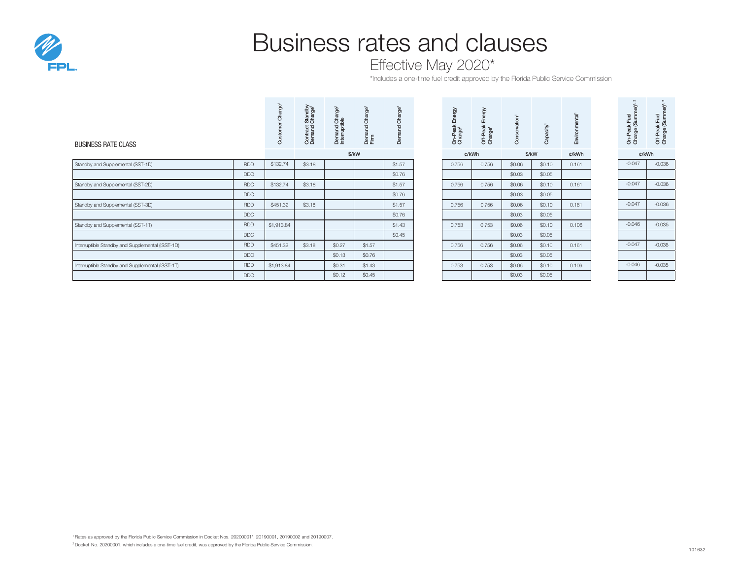

# Business rates and clauses

Effective May 2020\*

\*Includes a one-time fuel credit approved by the Florida Public Service Commission

| <b>BUSINESS RATE CLASS</b>                       |            | e,<br>దె   | Standby<br>Charge<br>Contract<br>Demand | ъ<br>Demand Cha | ge <sup>1</sup><br>$\circ$<br>Dema<br>Firm | ge <sup>1</sup><br>Cha<br>Demand |  | Energy<br>On-Peak I<br>Charge <sup>1</sup> | δ<br>Off-Peak<br>Charge <sup>1</sup> | vation <sup>1</sup><br>Conser | acity<br>Ö | Envir | On-Peak Fuel<br>Charge (Summer) <sup>1</sup> | Off-Peak Fuel<br>Charge (Summ |
|--------------------------------------------------|------------|------------|-----------------------------------------|-----------------|--------------------------------------------|----------------------------------|--|--------------------------------------------|--------------------------------------|-------------------------------|------------|-------|----------------------------------------------|-------------------------------|
|                                                  |            |            | \$/kW                                   |                 | ¢/kWh                                      |                                  |  | \$/kW                                      |                                      | ¢/kWh                         |            | ¢/kWh |                                              |                               |
| Standby and Supplemental (SST-1D)                | <b>RDD</b> | \$132.74   | \$3.18                                  |                 |                                            | \$1.57                           |  | 0.756                                      | 0.756                                | \$0.06                        | \$0.10     | 0.161 | $-0.047$                                     | $-0.036$                      |
|                                                  | <b>DDC</b> |            |                                         |                 |                                            | \$0.76                           |  |                                            |                                      | \$0.03                        | \$0.05     |       |                                              |                               |
| Standby and Supplemental (SST-2D)                | <b>RDC</b> | \$132.74   | \$3.18                                  |                 |                                            | \$1.57                           |  | 0.756                                      | 0.756                                | \$0.06                        | \$0.10     | 0.161 | $-0.047$                                     | $-0.036$                      |
|                                                  | <b>DDC</b> |            |                                         |                 |                                            | \$0.76                           |  |                                            |                                      | \$0.03                        | \$0.05     |       |                                              |                               |
| Standby and Supplemental (SST-3D)                | <b>RDD</b> | \$451.32   | \$3.18                                  |                 |                                            | \$1.57                           |  | 0.756                                      | 0.756                                | \$0.06                        | \$0.10     | 0.161 | $-0.047$                                     | $-0.036$                      |
|                                                  | <b>DDC</b> |            |                                         |                 |                                            | \$0.76                           |  |                                            |                                      | \$0.03                        | \$0.05     |       |                                              |                               |
| Standby and Supplemental (SST-1T)                | <b>RDD</b> | \$1,913.84 |                                         |                 |                                            | \$1.43                           |  | 0.753                                      | 0.753                                | \$0.06                        | \$0.10     | 0.106 | $-0.046$                                     | $-0.035$                      |
|                                                  | <b>DDC</b> |            |                                         |                 |                                            | \$0.45                           |  |                                            |                                      | \$0.03                        | \$0.05     |       |                                              |                               |
| Interruptible Standby and Supplemental (ISST-1D) | <b>RDD</b> | \$451.32   | \$3.18                                  | \$0.27          | \$1.57                                     |                                  |  | 0.756                                      | 0.756                                | \$0.06                        | \$0.10     | 0.161 | $-0.047$                                     | $-0.036$                      |
|                                                  | <b>DDC</b> |            |                                         | \$0.13          | \$0.76                                     |                                  |  |                                            |                                      | \$0.03                        | \$0.05     |       |                                              |                               |
| Interruptible Standby and Supplemental (ISST-1T) | <b>RDD</b> | \$1,913.84 |                                         | \$0.31          | \$1.43                                     |                                  |  | 0.753                                      | 0.753                                | \$0.06                        | \$0.10     | 0.106 | $-0.046$                                     | $-0.035$                      |
|                                                  | <b>DDC</b> |            |                                         | \$0.12          | \$0.45                                     |                                  |  |                                            |                                      | \$0.03                        | \$0.05     |       |                                              |                               |

| On-Peak Energy<br>Charge' | Off-Peak Energy     | vation <sup>1</sup> |                       |  |
|---------------------------|---------------------|---------------------|-----------------------|--|
|                           | Charge <sup>1</sup> | onser               | Capacity <sup>1</sup> |  |

| \$/kW |        | ¢/kWh  |       | \$/kW |        | ¢/kWh  | ¢/kWh |  |          |  |
|-------|--------|--------|-------|-------|--------|--------|-------|--|----------|--|
|       |        | \$1.57 | 0.756 | 0.756 | \$0.06 | \$0.10 | 0.161 |  | $-0.047$ |  |
|       |        | \$0.76 |       |       | \$0.03 | \$0.05 |       |  |          |  |
|       |        | \$1.57 | 0.756 | 0.756 | \$0.06 | \$0.10 | 0.161 |  | $-0.047$ |  |
|       |        | \$0.76 |       |       | \$0.03 | \$0.05 |       |  |          |  |
|       |        | \$1.57 | 0.756 | 0.756 | \$0.06 | \$0.10 | 0.161 |  | $-0.047$ |  |
|       |        | \$0.76 |       |       | \$0.03 | \$0.05 |       |  |          |  |
|       |        | \$1.43 | 0.753 | 0.753 | \$0.06 | \$0.10 | 0.106 |  | $-0.046$ |  |
|       |        | \$0.45 |       |       | \$0.03 | \$0.05 |       |  |          |  |
|       | \$1.57 |        | 0.756 | 0.756 | \$0.06 | \$0.10 | 0.161 |  | $-0.047$ |  |
|       | \$0.76 |        |       |       | \$0.03 | \$0.05 |       |  |          |  |
|       | \$1.43 |        | 0.753 | 0.753 | \$0.06 | \$0.10 | 0.106 |  | $-0.046$ |  |
|       | \$0.45 |        |       |       | \$0.03 | \$0.05 |       |  |          |  |

| Charge (Summer) <sup>1, 2</sup> | Charge (Summer) <sup>1, 2</sup> |
|---------------------------------|---------------------------------|
| On-Peak Fuel                    | Off-Peak Fuel                   |

| c/kWh    |          |  |  |  |  |  |  |  |
|----------|----------|--|--|--|--|--|--|--|
| $-0.047$ | $-0.036$ |  |  |  |  |  |  |  |
|          |          |  |  |  |  |  |  |  |
| $-0.047$ | $-0.036$ |  |  |  |  |  |  |  |
|          |          |  |  |  |  |  |  |  |
| $-0.047$ | $-0.036$ |  |  |  |  |  |  |  |
|          |          |  |  |  |  |  |  |  |
| $-0.046$ | $-0.035$ |  |  |  |  |  |  |  |
|          |          |  |  |  |  |  |  |  |
| $-0.047$ | $-0.036$ |  |  |  |  |  |  |  |
|          |          |  |  |  |  |  |  |  |
| $-0.046$ | $-0.035$ |  |  |  |  |  |  |  |
|          |          |  |  |  |  |  |  |  |

<sup>1</sup>Rates as approved by the Florida Public Service Commission in Docket Nos. 20200001\*, 20190001, 20190002 and 20190007.  $2$  Docket No. 20200001, which includes a one-time fuel credit, was approved by the Florida Public Service Commission.